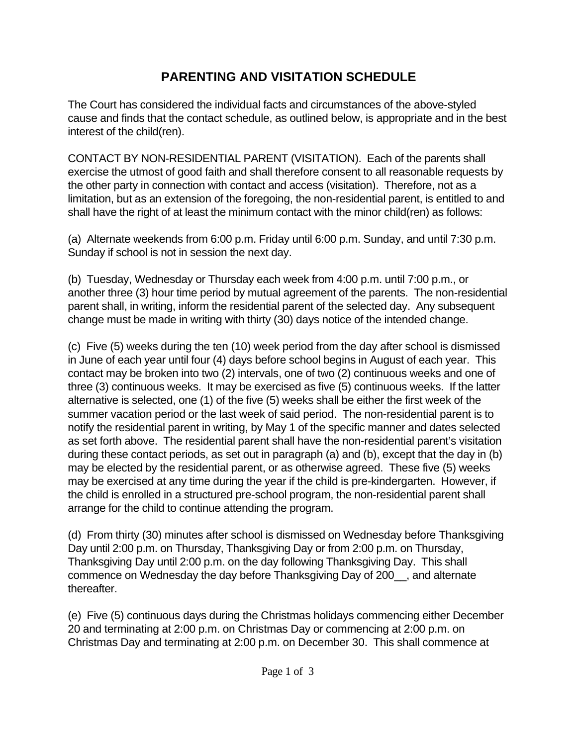## **PARENTING AND VISITATION SCHEDULE**

The Court has considered the individual facts and circumstances of the above-styled cause and finds that the contact schedule, as outlined below, is appropriate and in the best interest of the child(ren).

CONTACT BY NON-RESIDENTIAL PARENT (VISITATION). Each of the parents shall exercise the utmost of good faith and shall therefore consent to all reasonable requests by the other party in connection with contact and access (visitation). Therefore, not as a limitation, but as an extension of the foregoing, the non-residential parent, is entitled to and shall have the right of at least the minimum contact with the minor child(ren) as follows:

(a) Alternate weekends from 6:00 p.m. Friday until 6:00 p.m. Sunday, and until 7:30 p.m. Sunday if school is not in session the next day.

(b) Tuesday, Wednesday or Thursday each week from 4:00 p.m. until 7:00 p.m., or another three (3) hour time period by mutual agreement of the parents. The non-residential parent shall, in writing, inform the residential parent of the selected day. Any subsequent change must be made in writing with thirty (30) days notice of the intended change.

(c) Five (5) weeks during the ten (10) week period from the day after school is dismissed in June of each year until four (4) days before school begins in August of each year. This contact may be broken into two (2) intervals, one of two (2) continuous weeks and one of three (3) continuous weeks. It may be exercised as five (5) continuous weeks. If the latter alternative is selected, one (1) of the five (5) weeks shall be either the first week of the summer vacation period or the last week of said period. The non-residential parent is to notify the residential parent in writing, by May 1 of the specific manner and dates selected as set forth above. The residential parent shall have the non-residential parent's visitation during these contact periods, as set out in paragraph (a) and (b), except that the day in (b) may be elected by the residential parent, or as otherwise agreed. These five (5) weeks may be exercised at any time during the year if the child is pre-kindergarten. However, if the child is enrolled in a structured pre-school program, the non-residential parent shall arrange for the child to continue attending the program.

(d) From thirty (30) minutes after school is dismissed on Wednesday before Thanksgiving Day until 2:00 p.m. on Thursday, Thanksgiving Day or from 2:00 p.m. on Thursday, Thanksgiving Day until 2:00 p.m. on the day following Thanksgiving Day. This shall commence on Wednesday the day before Thanksgiving Day of 200\_\_, and alternate thereafter.

(e) Five (5) continuous days during the Christmas holidays commencing either December 20 and terminating at 2:00 p.m. on Christmas Day or commencing at 2:00 p.m. on Christmas Day and terminating at 2:00 p.m. on December 30. This shall commence at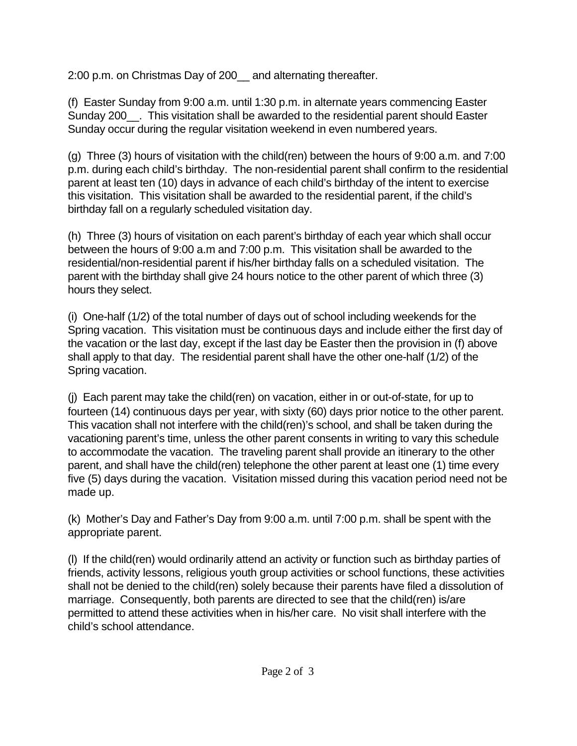2:00 p.m. on Christmas Day of 200\_\_ and alternating thereafter.

(f) Easter Sunday from 9:00 a.m. until 1:30 p.m. in alternate years commencing Easter Sunday 200 . This visitation shall be awarded to the residential parent should Easter Sunday occur during the regular visitation weekend in even numbered years.

(g) Three (3) hours of visitation with the child(ren) between the hours of 9:00 a.m. and 7:00 p.m. during each child's birthday. The non-residential parent shall confirm to the residential parent at least ten (10) days in advance of each child's birthday of the intent to exercise this visitation. This visitation shall be awarded to the residential parent, if the child's birthday fall on a regularly scheduled visitation day.

(h) Three (3) hours of visitation on each parent's birthday of each year which shall occur between the hours of 9:00 a.m and 7:00 p.m. This visitation shall be awarded to the residential/non-residential parent if his/her birthday falls on a scheduled visitation. The parent with the birthday shall give 24 hours notice to the other parent of which three (3) hours they select.

(i) One-half (1/2) of the total number of days out of school including weekends for the Spring vacation. This visitation must be continuous days and include either the first day of the vacation or the last day, except if the last day be Easter then the provision in (f) above shall apply to that day. The residential parent shall have the other one-half (1/2) of the Spring vacation.

(j) Each parent may take the child(ren) on vacation, either in or out-of-state, for up to fourteen (14) continuous days per year, with sixty (60) days prior notice to the other parent. This vacation shall not interfere with the child(ren)'s school, and shall be taken during the vacationing parent's time, unless the other parent consents in writing to vary this schedule to accommodate the vacation. The traveling parent shall provide an itinerary to the other parent, and shall have the child(ren) telephone the other parent at least one (1) time every five (5) days during the vacation. Visitation missed during this vacation period need not be made up.

(k) Mother's Day and Father's Day from 9:00 a.m. until 7:00 p.m. shall be spent with the appropriate parent.

(l) If the child(ren) would ordinarily attend an activity or function such as birthday parties of friends, activity lessons, religious youth group activities or school functions, these activities shall not be denied to the child(ren) solely because their parents have filed a dissolution of marriage. Consequently, both parents are directed to see that the child(ren) is/are permitted to attend these activities when in his/her care. No visit shall interfere with the child's school attendance.